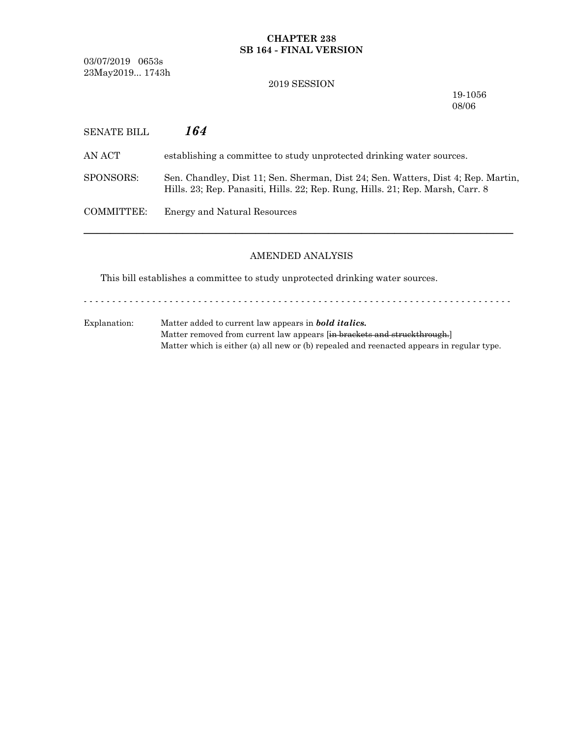# **CHAPTER 238 SB 164 - FINAL VERSION**

03/07/2019 0653s 23May2019... 1743h

## 2019 SESSION

19-1056 08/06

| SENATE BILL | 164                                                                                                                                                                 |
|-------------|---------------------------------------------------------------------------------------------------------------------------------------------------------------------|
| AN ACT-     | establishing a committee to study unprotected drinking water sources.                                                                                               |
| SPONSORS:   | Sen. Chandley, Dist 11; Sen. Sherman, Dist 24; Sen. Watters, Dist 4; Rep. Martin,<br>Hills. 23; Rep. Panasiti, Hills. 22; Rep. Rung, Hills. 21; Rep. Marsh, Carr. 8 |
| COMMITTEE:  | <b>Energy and Natural Resources</b>                                                                                                                                 |

# AMENDED ANALYSIS

─────────────────────────────────────────────────────────────────

This bill establishes a committee to study unprotected drinking water sources.

Explanation: Matter added to current law appears in *bold italics.* Matter removed from current law appears [in brackets and struckthrough.] Matter which is either (a) all new or (b) repealed and reenacted appears in regular type.

- - - - - - - - - - - - - - - - - - - - - - - - - - - - - - - - - - - - - - - - - - - - - - - - - - - - - - - - - - - - - - - - - - - - - - - - - - -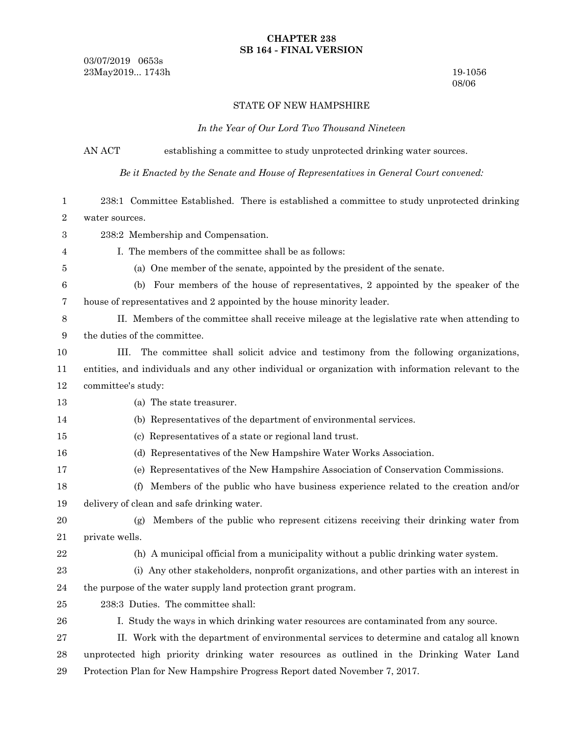### **CHAPTER 238 SB 164 - FINAL VERSION**

03/07/2019 0653s 23May2019... 1743h 19-1056

08/06

#### STATE OF NEW HAMPSHIRE

*In the Year of Our Lord Two Thousand Nineteen*

AN ACT establishing a committee to study unprotected drinking water sources.

*Be it Enacted by the Senate and House of Representatives in General Court convened:*

238:1 Committee Established. There is established a committee to study unprotected drinking water sources. 1 2

- 238:2 Membership and Compensation. 3
- 4 5

I. The members of the committee shall be as follows:

(a) One member of the senate, appointed by the president of the senate.

(b) Four members of the house of representatives, 2 appointed by the speaker of the house of representatives and 2 appointed by the house minority leader. 6 7

- II. Members of the committee shall receive mileage at the legislative rate when attending to the duties of the committee. 8 9
- III. The committee shall solicit advice and testimony from the following organizations, 10
- entities, and individuals and any other individual or organization with information relevant to the committee's study: 11 12
- 13

(a) The state treasurer.

#### (b) Representatives of the department of environmental services.

- (c) Representatives of a state or regional land trust. 15
- (d) Representatives of the New Hampshire Water Works Association. 16
- (e) Representatives of the New Hampshire Association of Conservation Commissions. 17
- (f) Members of the public who have business experience related to the creation and/or delivery of clean and safe drinking water. 18 19
- (g) Members of the public who represent citizens receiving their drinking water from private wells. 20 21
- 22

14

- (h) A municipal official from a municipality without a public drinking water system.
- (i) Any other stakeholders, nonprofit organizations, and other parties with an interest in the purpose of the water supply land protection grant program. 23 24
- 238:3 Duties. The committee shall: 25
- I. Study the ways in which drinking water resources are contaminated from any source. 26
- II. Work with the department of environmental services to determine and catalog all known unprotected high priority drinking water resources as outlined in the Drinking Water Land Protection Plan for New Hampshire Progress Report dated November 7, 2017. 27 28 29